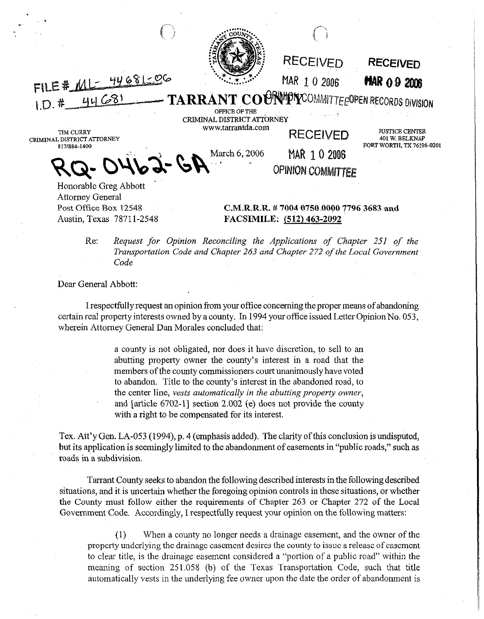

FILE # ML 44681-06 44681 **TARRAN**  $1D.$ #

OFFICE OF THE CRIMINAL DISTRICT ATTORNEY www.tarrantda.com

March 6, 2006

**TIM CURRY** CRIMINAL DISTRICT ATTORNEY 817/884-1400

**RECEIVED** 

MAR 1 0 2006

**OPINION COMMITTEE** 

O UNIPYCOMMITTEE OPEN RECORDS DIVISION

**RECEIVED** 

MAR 1 0 2006

**JUSTICE CENTER** 401 W. BELKNAP FORT WORTH, TX 76196-0201

**RECEIVED** 

MAR 09 2006

J - G Honorable Greg Abbott

Attorney General<br>Post Office Box 12548

Post Office Box 12548 **C.M.R.R.R. # 7004 0750 0000 7796 3683 and <br>Austin, Texas 78711-2548 <b>FACSIMILE:** (512) 463-2092 FACSIMILE: (512) 463-2092

Re: *Request for Opinion Reconciling the Applications of Chapter 251 of the Transportation Code and Chapter 263 and Chapter 272 of the Local Government Code* 

Dear General Abbott:

I respectfully request an opinion from your office concerning the proper means of abandoning certain real property interests owned by a county. In 1994 your office issued Letter Opinion No. 053, wherein Attorney General Dan Morales concluded that:

> a county is not obligated, nor does it have discretion, to sell to an abutting property owner the county's interest in a road that the members of the county commissioners court unanimously have voted to abandon. Title to the county's interest in the abandoned road, to the center line, *vests automatically in the abutting property owner,*  and [article 6702-l] section 2.002 (e) does not provide the county with a right to be compensated for its interest.

Tex. **Att'y** Gen. LA-053 (1994) p. 4 (emphasis added). The clarity of this conclusion is undisputed, but its application is seemingly limited to the abandonment of easements in "public roads," such as roads in a subdivision.

Tarrant County seeks to abandon the following described interests in the following described situations, and it is uncertain whether the foregoing opinion controls in these situations, or whether the County must follow either the requirements of Chapter 263 or Chapter 272 of the Local Government Code. Accordingly, I respectfully request your opinion on the following matters:

(1) When a county no longer needs a drainage easement, and the owner of the property underlying the drainage easement desires the county to issue a release of easement to clear title, is the drainage easement considered a "portion of a public road" within the meaning of section 251.058 (b) of the Texas Transportation Code, such that title automatically vests in the underlying fee owner upon the date the order of abandonment is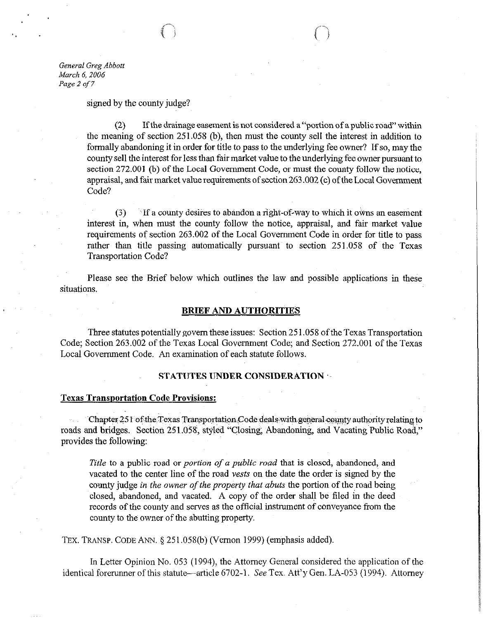*General Greg Abbott March 6,2006 Page 2 of 7* 

'. .

signed by the county judge?

(2) If the drainage easement is not considered a "portion of a public road" within the meaning of section 251.058 (b), then must the county sell the interest in addition to formally abandoning it in order for title to pass to the underlying fee owner? If so, may the county sell the interest for less than fair market value to the underlying fee owner pursuant to section 272.001 (b) of the Local Government Code, or must the county follow the notice, appraisal, and fair market value requirements of section 263.002 (c) of the Local Government Code?

*0)* If a county desires to abandon a right-of-way to which it oWns an easement interest in, when must the county follow the notice, appraisal, and fair market value requirements of section 263.002 of the Local Government Code in order for title to pass rather than title passing automatically pursuant to section 251.058 of the Texas Transportation Code?

Please see the Brief below which outlines the law and possible applications in these situations.

## **BRIEF AND AUTHORITIES**

Three statutes potentially govern these issues: Section 25 1.058 of the Texas Transportation Code; Section 263.002 of the Texas Local Government Code; and Section 272.001 of the Texas Local Government Code. An examination of each statute follows.

#### **STATUTES UNDER CONSIDERATION '-**

#### **Texas Transportation Code Provisions:**

Chapter 251 of the Texas Transportation Code deals with general county authority relating to roads and bridges. Section 25LO58, styled "Closing; Abandoning, and Vacating Public Road," provides the following:

*Title* to a public road or *portion of a public road* that is closed, abandoned, and vacated to the center line of the road *vests* on the date the order is signed by the county judge *in the owner of the property that abuts* the portion of the road being closed, abandoned, and vacated. A copy of the order shall be filed in the deed records of the county and serves as the official instrument of conveyance from the county to the owner of the abutting property.

**TEX. TRANSP. CODE** ANN. \$25 1.058(b) (Vernon 1999) (emphasis added).

In Letter Opinion No. 053 (1994), the Attorney General considered the application of the identical forerunner of this statute—article 6702-1. See Tex. Att'y Gen. LA-053 (1994). Attorney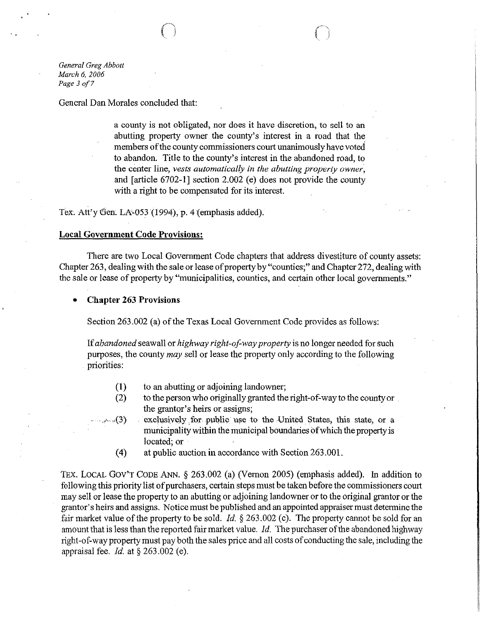*General Greg Abbott March 6, 2006 Page 3 of 7* 

General Dan Morales concluded that:

a county is not obligated, nor does it have discretion, to sell to an abutting property owner the county's interest in a road that the members of the county commissioners court unanimously have voted to abandon. Title to the county's interest in the abandoned road, to the center line, *vests automatically in the abutting property owner*, and [article 6702-l] section 2.002 (e) does not provide the county with a right to be compensated for its interest.

Tex. Att'y Gen. LA-053 (1994), p. 4 (emphasis added).

#### **Local Government Code Provisions:**

There are two Local Government Code chapters that address divestiture of county assets: Chapter 263, dealing with the sale or lease of property by "counties;" and Chapter 272, dealing with the sale or lease of property by "municipalities, counties, and certain other local governments."

# <sup>l</sup>**Chapter 263 Provisions**

Section 263.002 (a) of the Texas Local Government Code provides as follows:

If *abandoned* seawall *or highway right-of-way property* is no longer needed for such purposes, the county may sell or lease the property only according to the following priorities:

- (1) to an abutting or adjoining landowner;<br>(2) to the person who originally granted the
- to the person who originally granted the right-of-way to the county or the grantor's heirs or assigns;
- :(3) exclusively for public use to the United States, this state, or a municipality within the municipal boundaries of which the property is located; or
- (4) at public auction in accordance with Section 263.001.

TEX. LOCAL GOV'T CODE ANN. § 263.002 (a) (Vernon 2005) (emphasis added). In addition to following this priority list of purchasers, certain steps must be taken before the commissioners court may sell or lease the property to an abutting or adjoining landowner or to the original grantor or the grantor's heirs and assigns. Notice must be published and an appointed appraiser must determine the fair market value of the property to be sold. *Id.* § 263.002 (c). The property cannot be sold for an amount that is less than the reported fair market value. Id. The purchaser of the abandoned highway right-of-way property must pay both the sales price and all costs of conducting the sale, including the appraisal fee. *Id.* at \$ 263.002 (e).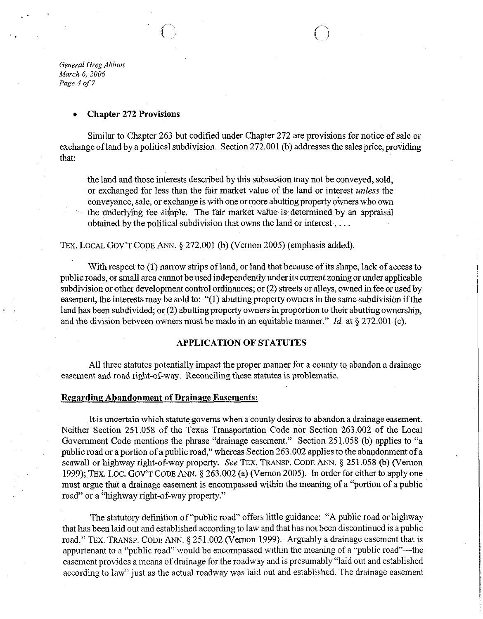*General Greg Abbott Mwch 6, 2006 Page 4 of 7* 

.'

## <sup>l</sup>**Chapter 272 Provisions**

Similar to Chapter 263 but codified under Chapter 272 are provisions for notice of sale or exchange of land by a political subdivision. Section 272.001 (b) addresses the sales price, providing that:

the land and those interests described by this subsection may not be conveyed, sold, or exchanged for less than the fair market value of the land or interest unless the conveyance, sale, or exchange is with one or more abutting property owners who own the underlying fee simple. The fair market value is determined by an appraisal obtained by the political subdivision that owns the land or interest.. . .

TEX. LOCAL GOV'T CODE ANN. § 272.001 (b) (Vernon 2005) (emphasis added).

With respect to (1) narrow strips of land, or land that because of its shape, lack of access to public roads, or small area cannot be used independently under its current zoning or under applicable subdivision or other development control ordinances; or (2) streets or alleys, owned in fee or used by easement, the interests may be sold to: "(1) abutting property owners in the same subdivision if the land has been subdivided; or (2) abutting property owners in proportion to their abutting ownership, and the division between owners must be made in an equitable manner." *Id.* at § 272.001 (c).

# **APPLICATION OF STATUTES**

All three statutes potentially impact the proper manner for a county to abandon a drainage easement and road right-of-way. Reconciling these statutes is problematic.

#### **Regarding Abandonment of Drainage Easements:**

It is uncertain which statute governs when a county desires to abandon a drainage easement. Neither Section 251.058 of the Texas Transportation Code nor Section 263.002 of the Local Government Code mentions the phrase "drainage easement." Section 251.058 (b) applies to "a public road or a portion of a public road," whereas Section 263.002 applies to the abandonment of a seawall or highway right-of-way property. See TEX. TRANSP. CODE ANN. § 251.058 (b) (Vernon 1999); TEX. LOC. GOV'T CODE ANN. § 263.002 (a) (Vernon 2005). In order for either to apply one must argue that a drainage easement is encompassed within the meaning of a "portion of a public road" or a "highway right-of-way property."

The statutory definition of "public road" offers little guidance: "A public road or highway that has been laid out and established according to law and that has not been discontinued is a public road." TEX. TRANSP. CODE ANN. § 251.002 (Vernon 1999). Arguably a drainage easement that is appurtenant to a "public road" would be encompassed within the meaning of a "public road"—the easement provides a means of drainage for the roadway and is presumably "laid out and established according to law" just as the actual roadway was laid out and established. The drainage easement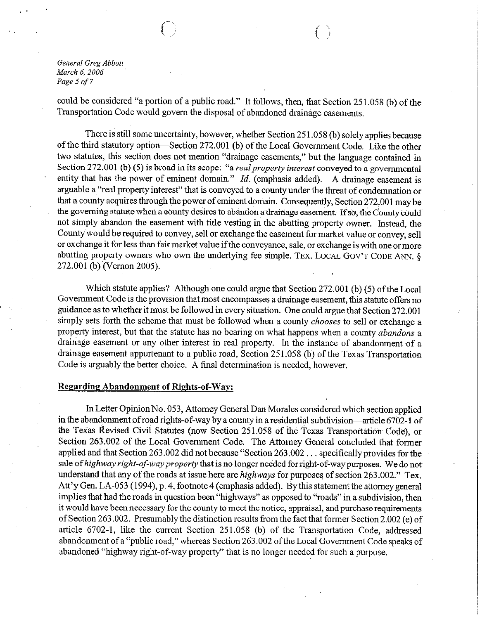*General Greg Abbott March 6, 2006 Page 5 of 7* 

could be considered "a portion of a public road." It follows, then, that Section 251.058 (b) of the Transportation Code would govern the disposal of abandoned drainage easements.

There is still some uncertainty, however, whether Section 251.058 (b) solely applies because of the third statutory option-Section 272.001 (b) of the Local Government Code. Like the other two statutes, this section does not mention "drainage easements," but the language contained in Section 272.001 (b) (5) is broad in its scope: "a *real property interest* conveyed to a governmental entity that has the power of eminent domain." *Id.* (emphasis added). A drainage easement is arguable a~"rea1 property interest" that is conveyed to a county under the threat of condemnation or that a county acquires through the power of eminent domain. Consequently, Section 272,001 may be the governing statute when a county desires to abandon a drainage easement. If so, the County could not simply abandon the easement with title vesting in the abutting property owner. Instead, the County would be required to convey, sell or exchange the easement for market value or convey, sell or exchange it for less than fair market value if the conveyance, sale, or exchange is with one ormore abutting property owners who own the underlying fee simple. **TEX. LOCAL GOV'T CODE ANN. § 272.001** (b) (Vernon 2005).

Which statute applies? Although one could argue that Section 272.001 (b) (5) of the Local Government Code is the provision that most encompasses a drainage easement, this statute offers no guidance as to whether it must be followed in every situation. One could argue that Section 272.001 simply sets forth the scheme that must be followed when a county *chooses* to sell or exchange a property interest, but that the statute has no bearing on what happens when a county *abandons* a drainage easement or any other interest in real property. In the instance of abandonment of a drainage easement appurtenant to a public road, Section 251.058 (b) of the Texas Transportation Code is arguably the better choice. A final determination is needed, however.

#### **Regarding Abandonment of Rights-of-Way:**

In Letter Opinion No. 053, Attorney General Dan Morales considered which section applied in the abandonment of road rights-of-way by a county in a residential subdivision—article 6702-1 of the Texas Revised Civil Statutes (now Section 251.058 of the Texas Transportation Code), or Section 263.002 of the Local Government Code. The Attorney General concluded that former applied and that Section 263.002 did not because "Section 263.002 . . specifically provides for the sale of highway right-of-way property that is no longer needed for right-of-way purposes. We do not understand that any of the roads at issue here are *highways* for purposes of section, 263.002." Tex. Att'y Gen. LA-053 (1994), p, 4, footnote 4 (emphasis added). By this statement the attorney general implies that had the roads in question been "highways" as opposed to "roads" in a subdivision, then it would have been necessary for the county to meet the notice, appraisal, and purchase requirements of Section 263.002. Presumably the distinction results from the fact that former Section 2.002 (e) of article 6702-1, like the current Section 251.058 (b) of the Transportation Code, addressed abandonment of a "public road," whereas Section 263.002 of the Local Government Code speaks of abandoned "highway right-of-way property" that is no longer needed for such a purpose.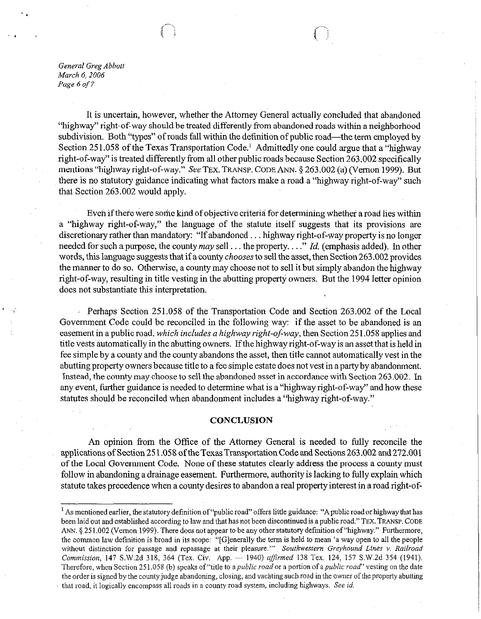*General Greg Abbott March 6, 2006 Page 6 of 7* 

It is uncertain, however, whether the Attorney General actually concluded that abandoned "highway" right-of-way should be treated differently from abandoned roads within a neighborhood subdivision. Both "types" of roads fall within the definition of public road—the term employed by Section 251.058 of the Texas Transportation Code.' Admittedly one could argue that a "highway right-of-way" is treated differently from all other public roads because Section 263.002 specifically mentions "highway right-of-way." See TEX. TRANSP. CODE ANN. § 263.002 (a) (Vernon 1999). But there is no statutory guidance indicating what factors make a road a 'highway right-of-way" such that Section 263.002 would apply.

Even if there were some kind of objective criteria for determining whether a road lies within a "highway right-of-way," the language of the statute itself suggests that its provisions are discretionary rather than mandatory: "If abandoned . . highway right-of-way property is no longer needed for such a purpose, the county may sell . . . the property. . . ." *Id.* (emphasis added). In other words, this language suggests that if a county *chooses* to sell the asset, then Section 263.002 provides the mamrer to do so. Otherwise, a county may choose not to sell it but simply abandon the highway right-of-way, resulting in title vesting in the abutting property owners. But the 1994 letter opinion does not substantiate this interpretation.

Perhaps Section 251.058 of the Transportation Code and Section 263.002 of the Local Government Code could be reconciled in the following way: if the asset to be abandoned is an easement in a public road, which *includes* a highway right-of-way, then Section25 1.058 applies and title vests automatically in the abutting owners. If the highway right-of-way is an asset that is held in fee simple by a county and the county abandons the asset, then title cannot automatically vest in the abutting property owners because title to a fee simple estate does not vest in a party by abandonment. Instead, the county may choose to sell the abandoned asset in accordance with Section 263.002. In any event, further guidance is needed to determine what is a "highway right-of-way" and how these statutes should be reconciled when abandonment includes a "highway right-of-way."

## **CONCLUSION**

An opinion from the Office of the Attorney General is needed to folly reconcile the applications of Section 25 1.058 of the Texas Transportation Code and Sections 263.002 and 272.001 of the Local Government Code. None of these statutes clearly address the process a county must follow in abandoning a drainage easement. Furthermore, authority is lacking to fully explain which statute takes precedence when a county desires to abandon a real property interest in a road right-of-

<sup>&</sup>lt;sup>1</sup> As mentioned earlier, the statutory definition of "public road" offers little guidance: "A public road or highway that has been laid Out and established according to law and that has not been discontinued is a public road." TEx. TRANSP. CODE ANN. § 251.002 (Vernon 1999). There does not appear to be any other statutory definition of "highway." Furthermore, the common law definition is broad in its scope: "[G]enerally the term is held to mean 'a way open to all the people without distinction for passage and repassage at their pleasure."' *Southwestern Greyhound Lines Y. Railroad*  Commission, 147 S.W.2d 318, 364 (Tex. Civ. App. ~ 1940) *aj'irmed 138 Tex. 124,* 157 S.W.2d 354 (1941). Therefore, when Section 25 1.058 (b) speaks of "title to *apublic road or a* portion of *apublic* roas'vesting on the date the order is signed by the county judge abandoning, closing, and vacating such road in the owner of the property abutting that road, it logically encompass all roads in a county road system, including highways. See *id.*